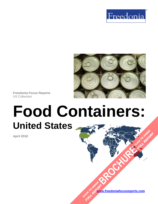



**Freedonia Focus Reports** US Collection

# **Food Containers: United States [BROCHURE](https://www.freedoniafocusreports.com/Food-Containers-United-States-FF30017/?progid=89541) CLICK TO ORDER**

**April 2018**

**[www.freedoniafocusreports.com](https://www.freedoniafocusreports.com/redirect.asp?progid=89534&url=/)** CLICK TO ORDER **FULL REPORT** 

**FULL REPORT**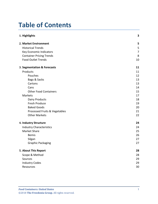# **Table of Contents**

| 1. Highlights                   | 3              |
|---------------------------------|----------------|
| 2. Market Environment           | 5              |
| <b>Historical Trends</b>        | 5              |
| Key Economic Indicators         | $\overline{7}$ |
| <b>Container Pricing Trends</b> | 8              |
| <b>Food Outlet Trends</b>       | 10             |
| 3. Segmentation & Forecasts     | 11             |
| Products                        | 11             |
| Pouches                         | 12             |
| Bags & Sacks                    | 13             |
| Cartons                         | 13             |
| Cans                            | 14             |
| <b>Other Food Containers</b>    | 15             |
| Markets                         | 17             |
| Dairy Products                  | 18             |
| Fresh Produce                   | 19             |
| <b>Baked Goods</b>              | 20             |
| Processed Fruits & Vegetables   | 21             |
| <b>Other Markets</b>            | 22             |
| 4. Industry Structure           | 24             |
| <b>Industry Characteristics</b> | 24             |
| Market Share                    | 25             |
| <b>Bemis</b>                    | 26             |
| Silgan                          | 27             |
| <b>Graphic Packaging</b>        | 27             |
| 5. About This Report            | 28             |
| Scope & Method                  | 28             |
| Sources                         | 29             |
| <b>Industry Codes</b>           | 29             |
| Resources                       | 30             |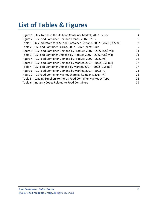# **List of Tables & Figures**

| Figure 1   Key Trends in the US Food Container Market, 2017 - 2022            | 4  |
|-------------------------------------------------------------------------------|----|
| Figure 2   US Food Container Demand Trends, 2007 - 2017                       | 6  |
| Table 1   Key Indicators for US Food Container Demand, 2007 - 2022 (US\$ bil) | 7  |
| Table 2   US Food Container Pricing, 2007 - 2022 (cents/unit)                 | 9  |
| Figure 3   US Food Container Demand by Product, 2007 - 2022 (US\$ mil)        | 11 |
| Table 3   US Food Container Demand by Product, 2007 - 2022 (US\$ mil)         | 11 |
| Figure 4   US Food Container Demand by Product, 2007 - 2022 (%)               | 16 |
| Figure 5   US Food Container Demand by Market, 2007 - 2022 (US\$ mil)         | 17 |
| Table 4   US Food Container Demand by Market, 2007 - 2022 (US\$ mil)          | 17 |
| Figure 6   US Food Container Demand by Market, 2007 - 2022 (%)                | 23 |
| Figure 7   US Food Container Market Share by Company, 2017 (%)                | 25 |
| Table 5   Leading Suppliers to the US Food Container Market by Type           | 26 |
| Table 6   Industry Codes Related to Food Containers                           | 29 |
|                                                                               |    |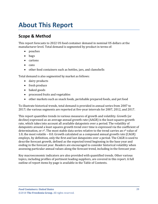# <span id="page-3-0"></span>**About This Report**

## <span id="page-3-1"></span>**Scope & Method**

This report forecasts to 2022 US food container demand in nominal US dollars at the manufacturer level. Total demand is segmented by product in terms of:

- pouches
- bags
- cartons
- cans
- other food containers such as bottles, jars, and clamshells

Total demand is also segmented by market as follows:

- dairy products
- fresh produce
- baked goods
- processed fruits and vegetables
- other markets such as snack foods, perishable prepared foods, and pet food

To illustrate historical trends, total demand is provided in annual series from 2007 to 2017; the various segments are reported at five-year intervals for 2007, 2012, and 2017.

This report quantifies trends in various measures of growth and volatility. Growth (or decline) expressed as an average annual growth rate (AAGR) is the least squares growth rate, which takes into account all available datapoints over a period. The volatility of datapoints around a least squares growth trend over time is expressed via the coefficient of determination, or  $r^2$ . The most stable data series relative to the trend carries an  $r^2$  value of 1.0; the most volatile – 0.0. Growth calculated as a compound annual growth rate (CAGR) employs, by definition, only the first and last datapoints over a period. The CAGR is used to describe forecast growth, defined as the expected trend beginning in the base year and ending in the forecast year. Readers are encouraged to consider historical volatility when assessing particular annual values along the forecast trend, including in the forecast year.

Key macroeconomic indicators are also provided with quantified trends. Other various topics, including profiles of pertinent leading suppliers, are covered in this report. A full outline of report items by page is available in the Table of Contents.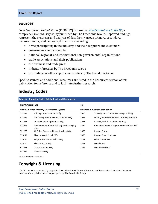## <span id="page-4-0"></span>**Sources**

*Food Containers: United States* (FF30017) is based on *[Food Containers in the US,](http://www.freedoniagroup.com/DocumentDetails.aspx?ReferrerId=FL-FOCUS&studyid=3609)* a comprehensive industry study published by The Freedonia Group. Reported findings represent the synthesis and analysis of data from various primary, secondary, macroeconomic, and demographic sources including:

- firms participating in the industry, and their suppliers and customers
- government/public agencies
- national, regional, and international non-governmental organizations
- trade associations and their publications
- the business and trade press
- indicator forecasts by The Freedonia Group
- the findings of other reports and studies by The Freedonia Group

Specific sources and additional resources are listed in the Resources section of this publication for reference and to facilitate further research.

## <span id="page-4-1"></span>**Industry Codes**

<span id="page-4-2"></span>

| Table 6   Industry Codes Related to Food Containers                                           |                                                          |                                           |                                              |  |
|-----------------------------------------------------------------------------------------------|----------------------------------------------------------|-------------------------------------------|----------------------------------------------|--|
| <b>NAICS/SCIAN 2007</b><br><b>SIC</b><br><b>North American Industry Classification System</b> |                                                          |                                           |                                              |  |
|                                                                                               |                                                          | <b>Standard Industrial Classification</b> |                                              |  |
| 322212                                                                                        | Folding Paperboard Box Mfg                               | 2656                                      | Sanitary Food Containers, Except Folding     |  |
| 322215                                                                                        | Nonfolding Sanitary Food Container Mfg                   | 2657                                      | Folding Paperboard Boxes, Including Sanitary |  |
| 322223                                                                                        | Coated Paper Bag & Pouch Mfg                             | 2673                                      | Plastics, Foil, & Coated Paper Bags          |  |
| 322225                                                                                        | Laminated Aluminum Foil Mfg for Packaging<br><b>Uses</b> | 2679                                      | Converted Paper & Paperboard Products, NEC   |  |
| 322299                                                                                        | All Other Converted Paper Product Mfg                    | 3085                                      | <b>Plastics Bottles</b>                      |  |
| 326111                                                                                        | Plastics Bag & Pouch Mfg                                 | 3086                                      | <b>Plastics Foam Products</b>                |  |
| 326140                                                                                        | Polystyrene Foam Product Mfg                             | 3221                                      | <b>Glass Containers</b>                      |  |
| 326160                                                                                        | Plastics Bottle Mfg                                      | 3411                                      | <b>Metal Cans</b>                            |  |
| 327213                                                                                        | <b>Glass Container Mfg</b>                               | 3497                                      | Metal Foil & Leaf                            |  |
| 332431                                                                                        | Metal Can Mfg                                            |                                           |                                              |  |

Source: US Census Bureau

## **Copyright & Licensing**

The full report is protected by copyright laws of the United States of America and international treaties. The entire contents of the publication are copyrighted by The Freedonia Group.